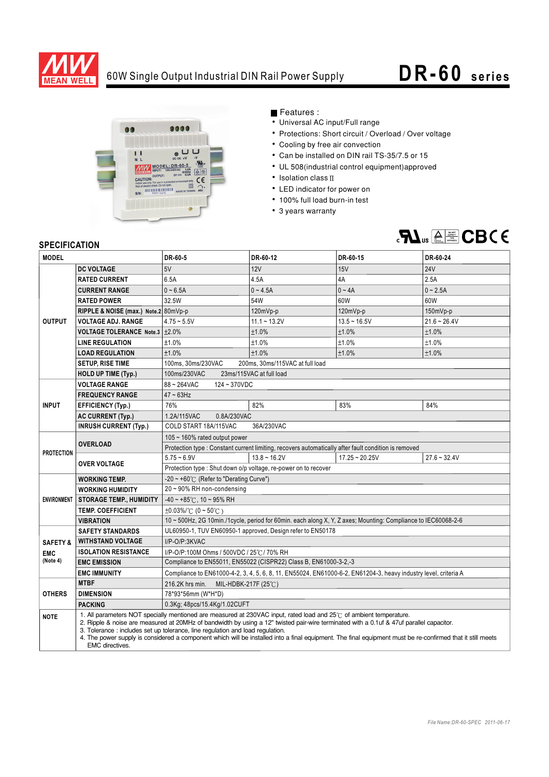

## 60W Single Output Industrial DIN Rail Power Supply **DR- 60 series**



Features :

- Universal AC input/Full range
- Protections: Short circuit / Overload / Over voltage
- Cooling by free air convection
- Can be installed on DIN rail TS-35/7.5 or 15
- UL 508(industrial control equipment)approved
- $\cdot$  Isolation class II
- LED indicator for power on
- 100% full load burn-in test
- 3 years warranty



## **SPECIFICATION**

| יועו וועם וועם<br><b>MODEL</b> |                                                                                                                                                                                                                                                                                                                                                  | DR-60-5                                                                                                         | DR-60-12       | DR-60-15         | DR-60-24       |
|--------------------------------|--------------------------------------------------------------------------------------------------------------------------------------------------------------------------------------------------------------------------------------------------------------------------------------------------------------------------------------------------|-----------------------------------------------------------------------------------------------------------------|----------------|------------------|----------------|
| <b>OUTPUT</b>                  | <b>DC VOLTAGE</b>                                                                                                                                                                                                                                                                                                                                | 5V                                                                                                              | 12V            | 15V              | <b>24V</b>     |
|                                | <b>RATED CURRENT</b>                                                                                                                                                                                                                                                                                                                             | 6.5A                                                                                                            | 4.5A           | 4A               | 2.5A           |
|                                | <b>CURRENT RANGE</b>                                                                                                                                                                                                                                                                                                                             | $0 - 6.5A$                                                                                                      | $0 - 4.5A$     | $0 - 4A$         | $0 - 2.5A$     |
|                                | <b>RATED POWER</b>                                                                                                                                                                                                                                                                                                                               | 32.5W                                                                                                           | 54W            | 60W              | 60W            |
|                                | RIPPLE & NOISE (max.) Note.2 80mVp-p                                                                                                                                                                                                                                                                                                             |                                                                                                                 | 120mVp-p       | 120mVp-p         | $150mVp-p$     |
|                                | <b>VOLTAGE ADJ. RANGE</b>                                                                                                                                                                                                                                                                                                                        | $4.75 - 5.5V$                                                                                                   | $11.1 - 13.2V$ | $13.5 - 16.5V$   | $21.6 - 26.4V$ |
|                                | <b>VOLTAGE TOLERANCE Note.3</b>                                                                                                                                                                                                                                                                                                                  | ±2.0%                                                                                                           | ±1.0%          | ±1.0%            | ±1.0%          |
|                                | <b>LINE REGULATION</b>                                                                                                                                                                                                                                                                                                                           | ±1.0%                                                                                                           | ±1.0%          | ±1.0%            | ±1.0%          |
|                                | <b>LOAD REGULATION</b>                                                                                                                                                                                                                                                                                                                           | ±1.0%                                                                                                           | ±1.0%          | ±1.0%            | ±1.0%          |
|                                | <b>SETUP, RISE TIME</b>                                                                                                                                                                                                                                                                                                                          | 100ms, 30ms/230VAC<br>200ms, 30ms/115VAC at full load                                                           |                |                  |                |
|                                | <b>HOLD UP TIME (Typ.)</b>                                                                                                                                                                                                                                                                                                                       | 100ms/230VAC<br>23ms/115VAC at full load                                                                        |                |                  |                |
| <b>INPUT</b>                   | <b>VOLTAGE RANGE</b>                                                                                                                                                                                                                                                                                                                             | 88~264VAC<br>124~370VDC                                                                                         |                |                  |                |
|                                | <b>FREQUENCY RANGE</b>                                                                                                                                                                                                                                                                                                                           | $47 - 63$ Hz                                                                                                    |                |                  |                |
|                                | <b>EFFICIENCY (Typ.)</b>                                                                                                                                                                                                                                                                                                                         | 76%                                                                                                             | 82%            | 83%              | 84%            |
|                                | <b>AC CURRENT (Typ.)</b>                                                                                                                                                                                                                                                                                                                         | 1.2A/115VAC<br>0.8A/230VAC                                                                                      |                |                  |                |
|                                | <b>INRUSH CURRENT (Typ.)</b>                                                                                                                                                                                                                                                                                                                     | COLD START 18A/115VAC<br>36A/230VAC                                                                             |                |                  |                |
| <b>PROTECTION</b>              | <b>OVERLOAD</b>                                                                                                                                                                                                                                                                                                                                  | 105 $\sim$ 160% rated output power                                                                              |                |                  |                |
|                                |                                                                                                                                                                                                                                                                                                                                                  | Protection type : Constant current limiting, recovers automatically after fault condition is removed            |                |                  |                |
|                                | <b>OVER VOLTAGE</b>                                                                                                                                                                                                                                                                                                                              | $5.75 - 6.9V$                                                                                                   | $13.8 - 16.2V$ | $17.25 - 20.25V$ | $27.6 - 32.4V$ |
|                                |                                                                                                                                                                                                                                                                                                                                                  | Protection type : Shut down o/p voltage, re-power on to recover                                                 |                |                  |                |
| <b>ENVIRONMENT</b>             | <b>WORKING TEMP.</b>                                                                                                                                                                                                                                                                                                                             | -20 ~ +60° $\mathrm{C}$ (Refer to "Derating Curve")                                                             |                |                  |                |
|                                | <b>WORKING HUMIDITY</b>                                                                                                                                                                                                                                                                                                                          | 20~90% RH non-condensing                                                                                        |                |                  |                |
|                                | <b>STORAGE TEMP., HUMIDITY</b>                                                                                                                                                                                                                                                                                                                   | $-40 \sim +85^{\circ}$ C, 10 ~ 95% RH                                                                           |                |                  |                |
|                                | <b>TEMP. COEFFICIENT</b>                                                                                                                                                                                                                                                                                                                         | $\pm 0.03\%$ /°C (0 ~ 50°C)                                                                                     |                |                  |                |
|                                | <b>VIBRATION</b>                                                                                                                                                                                                                                                                                                                                 | 10 ~ 500Hz, 2G 10min./1cycle, period for 60min. each along X, Y, Z axes; Mounting: Compliance to IEC60068-2-6   |                |                  |                |
|                                | <b>SAFETY STANDARDS</b>                                                                                                                                                                                                                                                                                                                          | UL60950-1, TUV EN60950-1 approved, Design refer to EN50178                                                      |                |                  |                |
| <b>SAFETY &amp;</b>            | <b>WITHSTAND VOLTAGE</b>                                                                                                                                                                                                                                                                                                                         | I/P-O/P:3KVAC                                                                                                   |                |                  |                |
| <b>EMC</b><br>(Note 4)         | <b>ISOLATION RESISTANCE</b>                                                                                                                                                                                                                                                                                                                      | I/P-O/P:100M Ohms / 500VDC / 25°C / 70% RH                                                                      |                |                  |                |
|                                | <b>EMC EMISSION</b>                                                                                                                                                                                                                                                                                                                              | Compliance to EN55011, EN55022 (CISPR22) Class B, EN61000-3-2,-3                                                |                |                  |                |
|                                | <b>EMC IMMUNITY</b>                                                                                                                                                                                                                                                                                                                              | Compliance to EN61000-4-2, 3, 4, 5, 6, 8, 11, EN55024, EN61000-6-2, EN61204-3, heavy industry level, criteria A |                |                  |                |
| <b>OTHERS</b>                  | <b>MTBF</b>                                                                                                                                                                                                                                                                                                                                      | 216.2K hrs min.<br>MIL-HDBK-217F (25 $°C$ )                                                                     |                |                  |                |
|                                | <b>DIMENSION</b>                                                                                                                                                                                                                                                                                                                                 | 78*93*56mm (W*H*D)                                                                                              |                |                  |                |
|                                | <b>PACKING</b>                                                                                                                                                                                                                                                                                                                                   | 0.3Kg; 48pcs/15.4Kg/1.02CUFT                                                                                    |                |                  |                |
| <b>NOTE</b>                    | 1. All parameters NOT specially mentioned are measured at 230VAC input, rated load and 25°C of ambient temperature.<br>2. Ripple & noise are measured at 20MHz of bandwidth by using a 12" twisted pair-wire terminated with a 0.1uf & 47uf parallel capacitor.<br>3. Tolerance: includes set up tolerance, line regulation and load regulation. |                                                                                                                 |                |                  |                |
|                                | 4. The power supply is considered a component which will be installed into a final equipment. The final equipment must be re-confirmed that it still meets<br><b>EMC</b> directives.                                                                                                                                                             |                                                                                                                 |                |                  |                |